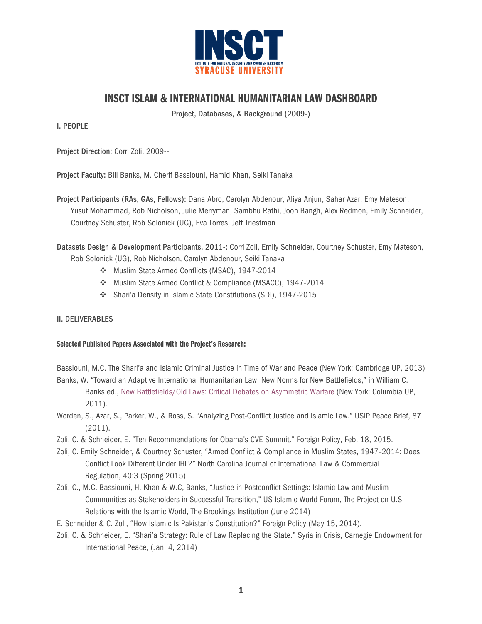

# INSCT ISLAM & INTERNATIONAL HUMANITARIAN LAW DASHBOARD

Project, Databases, & Background (2009-)

I. PEOPLE

Project Direction: Corri Zoli, 2009--

Project Faculty: Bill Banks, M. Cherif Bassiouni, Hamid Khan, Seiki Tanaka

Project Participants (RAs, GAs, Fellows): Dana Abro, Carolyn Abdenour, Aliya Anjun, Sahar Azar, Emy Mateson, Yusuf Mohammad, Rob Nicholson, Julie Merryman, Sambhu Rathi, Joon Bangh, Alex Redmon, Emily Schneider, Courtney Schuster, Rob Solonick (UG), Eva Torres, Jeff Triestman

Datasets Design & Development Participants, 2011-: Corri Zoli, Emily Schneider, Courtney Schuster, Emy Mateson,

Rob Solonick (UG), Rob Nicholson, Carolyn Abdenour, Seiki Tanaka

- v Muslim State Armed Conflicts (MSAC), 1947-2014
- v Muslim State Armed Conflict & Compliance (MSACC), 1947-2014
- v Shari'a Density in Islamic State Constitutions (SDI), 1947-2015

## II. DELIVERABLES

#### Selected Published Papers Associated with the Project's Research:

Bassiouni, M.C. The Shari'a and Islamic Criminal Justice in Time of War and Peace (New York: Cambridge UP, 2013) Banks, W. "Toward an Adaptive International Humanitarian Law: New Norms for New Battlefields," in William C.

Banks ed., New Battlefields/Old Laws: Critical Debates on Asymmetric Warfare (New York: Columbia UP, 2011).

- Worden, S., Azar, S., Parker, W., & Ross, S. "Analyzing Post-Conflict Justice and Islamic Law." USIP Peace Brief, 87 (2011).
- Zoli, C. & Schneider, E. "Ten Recommendations for Obama's CVE Summit." Foreign Policy, Feb. 18, 2015.
- Zoli, C. Emily Schneider, & Courtney Schuster, "Armed Conflict & Compliance in Muslim States, 1947–2014: Does Conflict Look Different Under IHL?" North Carolina Journal of International Law & Commercial Regulation, 40:3 (Spring 2015)
- Zoli, C., M.C. Bassiouni, H. Khan & W.C, Banks, "Justice in Postconflict Settings: Islamic Law and Muslim Communities as Stakeholders in Successful Transition," US-Islamic World Forum, The Project on U.S. Relations with the Islamic World, The Brookings Institution (June 2014)
- E. Schneider & C. Zoli, "How Islamic Is Pakistan's Constitution?" Foreign Policy (May 15, 2014).
- Zoli, C. & Schneider, E. "Shari'a Strategy: Rule of Law Replacing the State." Syria in Crisis, Carnegie Endowment for International Peace, (Jan. 4, 2014)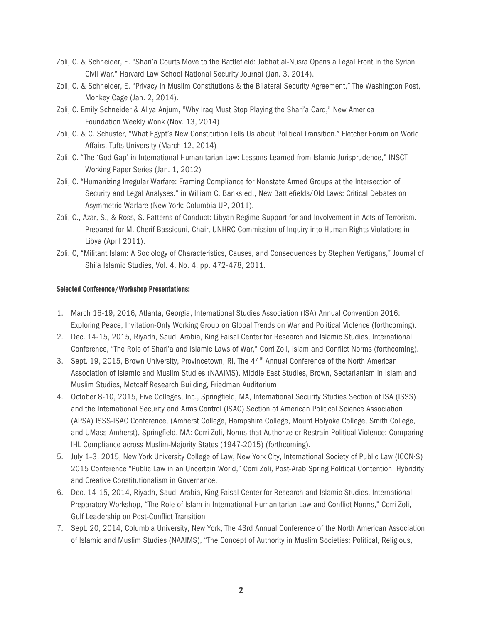- Zoli, C. & Schneider, E. "Shari'a Courts Move to the Battlefield: Jabhat al-Nusra Opens a Legal Front in the Syrian Civil War." Harvard Law School National Security Journal (Jan. 3, 2014).
- Zoli, C. & Schneider, E. "Privacy in Muslim Constitutions & the Bilateral Security Agreement," The Washington Post, Monkey Cage (Jan. 2, 2014).
- Zoli, C. Emily Schneider & Aliya Anjum, "Why Iraq Must Stop Playing the Shari'a Card," New America Foundation Weekly Wonk (Nov. 13, 2014)
- Zoli, C. & C. Schuster, "What Egypt's New Constitution Tells Us about Political Transition." Fletcher Forum on World Affairs, Tufts University (March 12, 2014)
- Zoli, C. "The 'God Gap' in International Humanitarian Law: Lessons Learned from Islamic Jurisprudence," INSCT Working Paper Series (Jan. 1, 2012)
- Zoli, C. "Humanizing Irregular Warfare: Framing Compliance for Nonstate Armed Groups at the Intersection of Security and Legal Analyses." in William C. Banks ed., New Battlefields/Old Laws: Critical Debates on Asymmetric Warfare (New York: Columbia UP, 2011).
- Zoli, C., Azar, S., & Ross, S. Patterns of Conduct: Libyan Regime Support for and Involvement in Acts of Terrorism. Prepared for M. Cherif Bassiouni, Chair, UNHRC Commission of Inquiry into Human Rights Violations in Libya (April 2011).
- Zoli. C, "Militant Islam: A Sociology of Characteristics, Causes, and Consequences by Stephen Vertigans," Journal of Shi'a Islamic Studies, Vol. 4, No. 4, pp. 472-478, 2011.

### Selected Conference/Workshop Presentations:

- 1. March 16-19, 2016, Atlanta, Georgia, International Studies Association (ISA) Annual Convention 2016: Exploring Peace, Invitation-Only Working Group on Global Trends on War and Political Violence (forthcoming).
- 2. Dec. 14-15, 2015, Riyadh, Saudi Arabia, King Faisal Center for Research and Islamic Studies, International Conference, "The Role of Shari'a and Islamic Laws of War," Corri Zoli, Islam and Conflict Norms (forthcoming).
- 3. Sept. 19, 2015, Brown University, Provincetown, RI, The 44<sup>th</sup> Annual Conference of the North American Association of Islamic and Muslim Studies (NAAIMS), Middle East Studies, Brown, Sectarianism in Islam and Muslim Studies, Metcalf Research Building, Friedman Auditorium
- 4. October 8-10, 2015, Five Colleges, Inc., Springfield, MA, International Security Studies Section of ISA (ISSS) and the International Security and Arms Control (ISAC) Section of American Political Science Association (APSA) ISSS-ISAC Conference, (Amherst College, Hampshire College, Mount Holyoke College, Smith College, and UMass-Amherst), Springfield, MA: Corri Zoli, Norms that Authorize or Restrain Political Violence: Comparing IHL Compliance across Muslim-Majority States (1947-2015) (forthcoming).
- 5. July 1–3, 2015, New York University College of Law, New York City, International Society of Public Law (ICON·S) 2015 Conference "Public Law in an Uncertain World," Corri Zoli, Post-Arab Spring Political Contention: Hybridity and Creative Constitutionalism in Governance.
- 6. Dec. 14-15, 2014, Riyadh, Saudi Arabia, King Faisal Center for Research and Islamic Studies, International Preparatory Workshop, "The Role of Islam in International Humanitarian Law and Conflict Norms," Corri Zoli, Gulf Leadership on Post-Conflict Transition
- 7. Sept. 20, 2014, Columbia University, New York, The 43rd Annual Conference of the North American Association of Islamic and Muslim Studies (NAAIMS), "The Concept of Authority in Muslim Societies: Political, Religious,